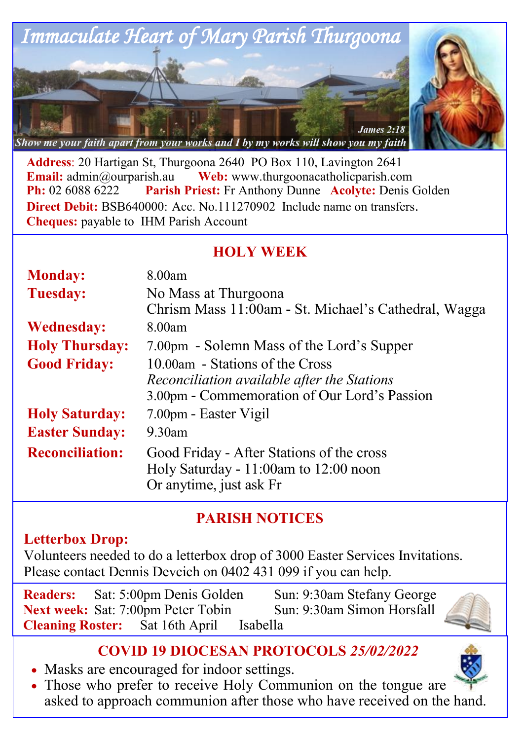

**Address**: 20 Hartigan St, Thurgoona 2640 PO Box 110, Lavington 2641 **Email:**  $\alpha$ <sup>o</sup> admin $\alpha$ <sup>o</sup> aurearish.au **Web:** www.thurgoonacatholicparish.com **Ph:** 02 6088 6222 **Parish Priest:** Fr Anthony Dunne **Acolyte:** Denis Golden **Direct Debit: BSB640000: Acc. No.111270902** Include name on transfers. **Cheques:** payable to IHM Parish Account

# **HOLY WEEK**

| <b>Monday:</b>         | 8.00am                                               |
|------------------------|------------------------------------------------------|
| <b>Tuesday:</b>        | No Mass at Thurgoona                                 |
|                        | Chrism Mass 11:00am - St. Michael's Cathedral, Wagga |
| <b>Wednesday:</b>      | 8.00am                                               |
| <b>Holy Thursday:</b>  | 7.00pm - Solemn Mass of the Lord's Supper            |
| <b>Good Friday:</b>    | 10.00am - Stations of the Cross                      |
|                        | Reconciliation available after the Stations          |
|                        | 3.00pm - Commemoration of Our Lord's Passion         |
| <b>Holy Saturday:</b>  | 7.00pm - Easter Vigil                                |
| <b>Easter Sunday:</b>  | $9.30$ am                                            |
| <b>Reconciliation:</b> | Good Friday - After Stations of the cross            |
|                        | Holy Saturday - 11:00am to 12:00 noon                |
|                        | Or anytime, just ask Fr                              |

# **PARISH NOTICES**

### **Letterbox Drop:**

Volunteers needed to do a letterbox drop of 3000 Easter Services Invitations. Please contact Dennis Devcich on 0402 431 099 if you can help.

**Readers:** Sat: 5:00pm Denis Golden Sun: 9:30am Stefany George **Next week:** Sat: 7:00pm Peter Tobin Sun: 9:30am Simon Horsfall **Cleaning Roster:** Sat 16th April Isabella



# **COVID 19 DIOCESAN PROTOCOLS** *25/02/2022*

- Masks are encouraged for indoor settings.
- Those who prefer to receive Holy Communion on the tongue are asked to approach communion after those who have received on the hand.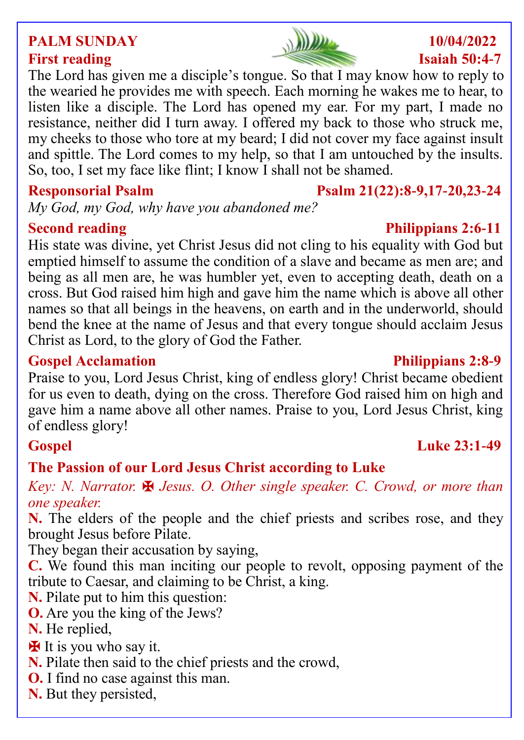The Lord has given me a disciple's tongue. So that I may know how to reply to the wearied he provides me with speech. Each morning he wakes me to hear, to listen like a disciple. The Lord has opened my ear. For my part, I made no resistance, neither did I turn away. I offered my back to those who struck me, my cheeks to those who tore at my beard; I did not cover my face against insult and spittle. The Lord comes to my help, so that I am untouched by the insults. So, too, I set my face like flint; I know I shall not be shamed.

### **Responsorial Psalm Psalm 21(22):8-9,17-20,23-24**

*My God, my God, why have you abandoned me?*

# **Second reading the second reading the second reading second reading the second reading second reading second reading second reading second reading second reading second reading second reading second reading second reading**

His state was divine, yet Christ Jesus did not cling to his equality with God but emptied himself to assume the condition of a slave and became as men are; and being as all men are, he was humbler yet, even to accepting death, death on a cross. But God raised him high and gave him the name which is above all other names so that all beings in the heavens, on earth and in the underworld, should bend the knee at the name of Jesus and that every tongue should acclaim Jesus Christ as Lord, to the glory of God the Father.

### **Gospel Acclamation Philippians 2:8-9**

Praise to you, Lord Jesus Christ, king of endless glory! Christ became obedient for us even to death, dying on the cross. Therefore God raised him on high and gave him a name above all other names. Praise to you, Lord Jesus Christ, king of endless glory!

# **The Passion of our Lord Jesus Christ according to Luke**

### *Key: N. Narrator.* ✠ *Jesus. O. Other single speaker. C. Crowd, or more than one speaker.*

**N.** The elders of the people and the chief priests and scribes rose, and they brought Jesus before Pilate.

They began their accusation by saying,

**C.** We found this man inciting our people to revolt, opposing payment of the tribute to Caesar, and claiming to be Christ, a king.

**N.** Pilate put to him this question:

**O.** Are you the king of the Jews?

**N.** He replied,

✠ It is you who say it.

- **N.** Pilate then said to the chief priests and the crowd,
- **O.** I find no case against this man.
- **N.** But they persisted,



# **Gospel Community Community Community Community Community Community Community Community Community Community Community Community Community Community Community Community Community Community Community Community Community Comm**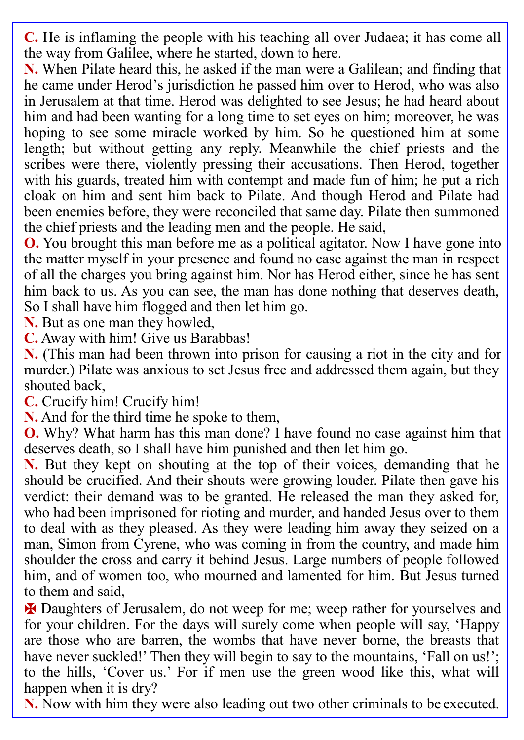**C.** He is inflaming the people with his teaching all over Judaea; it has come all the way from Galilee, where he started, down to here.

**N.** When Pilate heard this, he asked if the man were a Galilean; and finding that he came under Herod's jurisdiction he passed him over to Herod, who was also in Jerusalem at that time. Herod was delighted to see Jesus; he had heard about him and had been wanting for a long time to set eyes on him; moreover, he was hoping to see some miracle worked by him. So he questioned him at some length; but without getting any reply. Meanwhile the chief priests and the scribes were there, violently pressing their accusations. Then Herod, together with his guards, treated him with contempt and made fun of him; he put a rich cloak on him and sent him back to Pilate. And though Herod and Pilate had been enemies before, they were reconciled that same day. Pilate then summoned the chief priests and the leading men and the people. He said,

**O.** You brought this man before me as a political agitator. Now I have gone into the matter myself in your presence and found no case against the man in respect of all the charges you bring against him. Nor has Herod either, since he has sent him back to us. As you can see, the man has done nothing that deserves death, So I shall have him flogged and then let him go.

**N.** But as one man they howled,

**C.** Away with him! Give us Barabbas!

**N.** (This man had been thrown into prison for causing a riot in the city and for murder.) Pilate was anxious to set Jesus free and addressed them again, but they shouted back,

**C.** Crucify him! Crucify him!

**N.** And for the third time he spoke to them,

**O.** Why? What harm has this man done? I have found no case against him that deserves death, so I shall have him punished and then let him go.

**N.** But they kept on shouting at the top of their voices, demanding that he should be crucified. And their shouts were growing louder. Pilate then gave his verdict: their demand was to be granted. He released the man they asked for, who had been imprisoned for rioting and murder, and handed Jesus over to them to deal with as they pleased. As they were leading him away they seized on a man, Simon from Cyrene, who was coming in from the country, and made him shoulder the cross and carry it behind Jesus. Large numbers of people followed him, and of women too, who mourned and lamented for him. But Jesus turned to them and said,

✠ Daughters of Jerusalem, do not weep for me; weep rather for yourselves and for your children. For the days will surely come when people will say, 'Happy are those who are barren, the wombs that have never borne, the breasts that have never suckled!' Then they will begin to say to the mountains, 'Fall on us!'; to the hills, 'Cover us.' For if men use the green wood like this, what will happen when it is dry?

**N.** Now with him they were also leading out two other criminals to be executed.